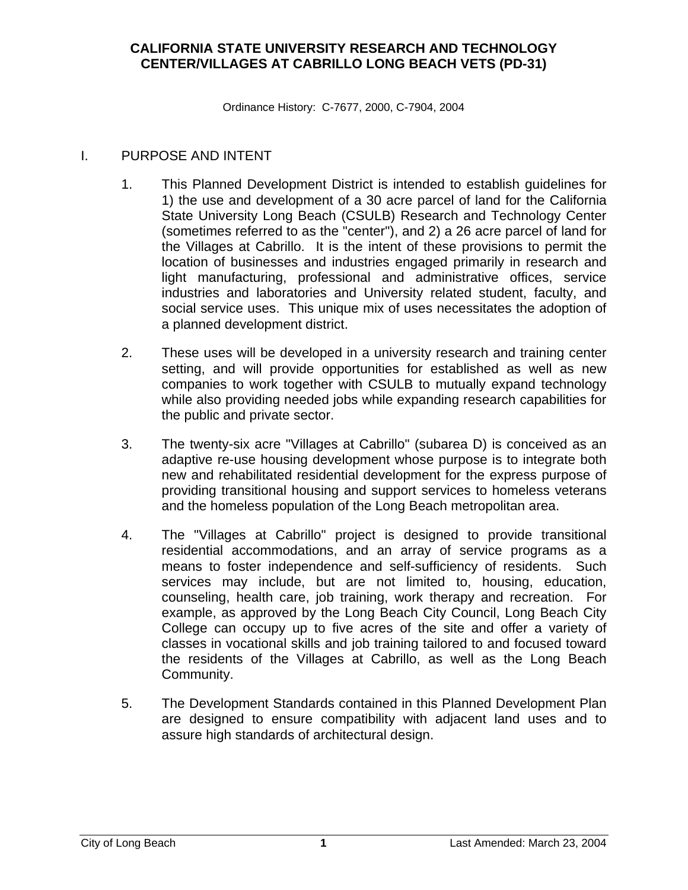# **CALIFORNIA STATE UNIVERSITY RESEARCH AND TECHNOLOGY CENTER/VILLAGES AT CABRILLO LONG BEACH VETS (PD-31)**

Ordinance History: C-7677, 2000, C-7904, 2004

# I. PURPOSE AND INTENT

- 1. This Planned Development District is intended to establish guidelines for 1) the use and development of a 30 acre parcel of land for the California State University Long Beach (CSULB) Research and Technology Center (sometimes referred to as the "center"), and 2) a 26 acre parcel of land for the Villages at Cabrillo. It is the intent of these provisions to permit the location of businesses and industries engaged primarily in research and light manufacturing, professional and administrative offices, service industries and laboratories and University related student, faculty, and social service uses. This unique mix of uses necessitates the adoption of a planned development district.
- 2. These uses will be developed in a university research and training center setting, and will provide opportunities for established as well as new companies to work together with CSULB to mutually expand technology while also providing needed jobs while expanding research capabilities for the public and private sector.
- 3. The twenty-six acre "Villages at Cabrillo" (subarea D) is conceived as an adaptive re-use housing development whose purpose is to integrate both new and rehabilitated residential development for the express purpose of providing transitional housing and support services to homeless veterans and the homeless population of the Long Beach metropolitan area.
- 4. The "Villages at Cabrillo" project is designed to provide transitional residential accommodations, and an array of service programs as a means to foster independence and self-sufficiency of residents. Such services may include, but are not limited to, housing, education, counseling, health care, job training, work therapy and recreation. For example, as approved by the Long Beach City Council, Long Beach City College can occupy up to five acres of the site and offer a variety of classes in vocational skills and job training tailored to and focused toward the residents of the Villages at Cabrillo, as well as the Long Beach Community.
- 5. The Development Standards contained in this Planned Development Plan are designed to ensure compatibility with adjacent land uses and to assure high standards of architectural design.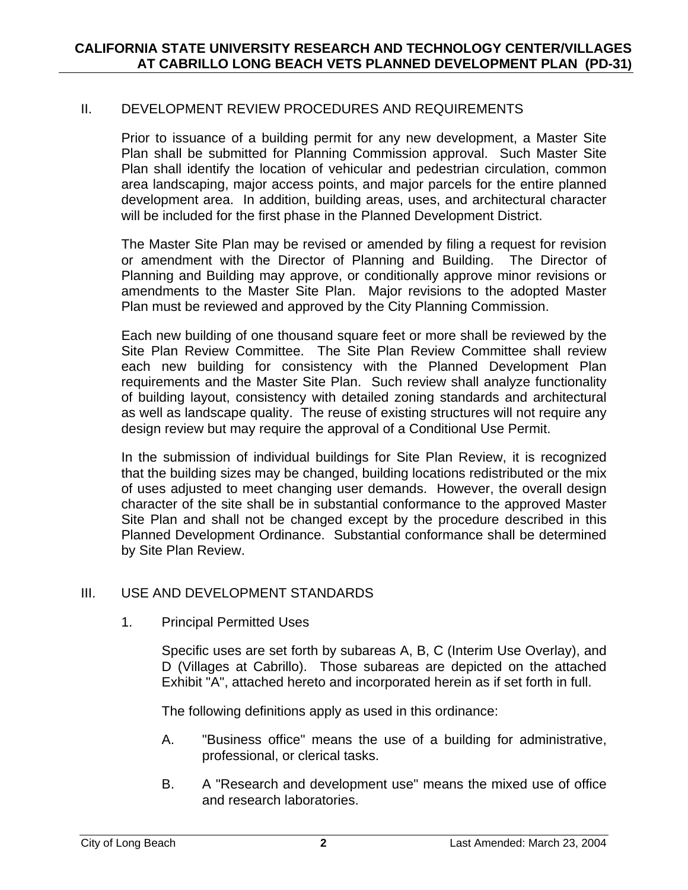# II. DEVELOPMENT REVIEW PROCEDURES AND REQUIREMENTS

Prior to issuance of a building permit for any new development, a Master Site Plan shall be submitted for Planning Commission approval. Such Master Site Plan shall identify the location of vehicular and pedestrian circulation, common area landscaping, major access points, and major parcels for the entire planned development area. In addition, building areas, uses, and architectural character will be included for the first phase in the Planned Development District.

The Master Site Plan may be revised or amended by filing a request for revision or amendment with the Director of Planning and Building. The Director of Planning and Building may approve, or conditionally approve minor revisions or amendments to the Master Site Plan. Major revisions to the adopted Master Plan must be reviewed and approved by the City Planning Commission.

Each new building of one thousand square feet or more shall be reviewed by the Site Plan Review Committee. The Site Plan Review Committee shall review each new building for consistency with the Planned Development Plan requirements and the Master Site Plan. Such review shall analyze functionality of building layout, consistency with detailed zoning standards and architectural as well as landscape quality. The reuse of existing structures will not require any design review but may require the approval of a Conditional Use Permit.

In the submission of individual buildings for Site Plan Review, it is recognized that the building sizes may be changed, building locations redistributed or the mix of uses adjusted to meet changing user demands. However, the overall design character of the site shall be in substantial conformance to the approved Master Site Plan and shall not be changed except by the procedure described in this Planned Development Ordinance. Substantial conformance shall be determined by Site Plan Review.

#### III. USE AND DEVELOPMENT STANDARDS

1. Principal Permitted Uses

Specific uses are set forth by subareas A, B, C (Interim Use Overlay), and D (Villages at Cabrillo). Those subareas are depicted on the attached Exhibit "A", attached hereto and incorporated herein as if set forth in full.

The following definitions apply as used in this ordinance:

- A. "Business office" means the use of a building for administrative, professional, or clerical tasks.
- B. A "Research and development use" means the mixed use of office and research laboratories.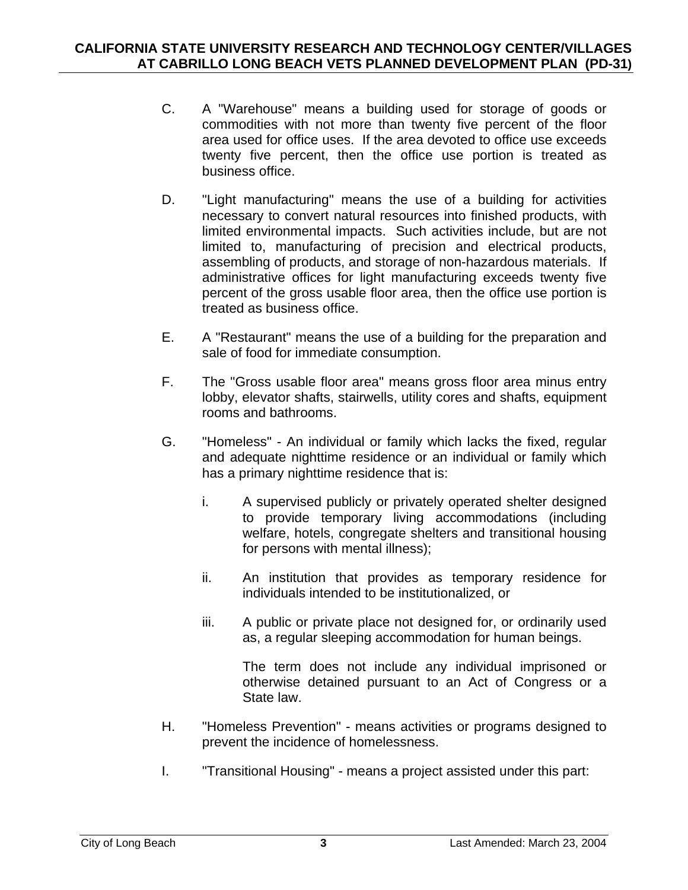- C. A "Warehouse" means a building used for storage of goods or commodities with not more than twenty five percent of the floor area used for office uses. If the area devoted to office use exceeds twenty five percent, then the office use portion is treated as business office.
- D. "Light manufacturing" means the use of a building for activities necessary to convert natural resources into finished products, with limited environmental impacts. Such activities include, but are not limited to, manufacturing of precision and electrical products, assembling of products, and storage of non-hazardous materials. If administrative offices for light manufacturing exceeds twenty five percent of the gross usable floor area, then the office use portion is treated as business office.
- E. A "Restaurant" means the use of a building for the preparation and sale of food for immediate consumption.
- F. The "Gross usable floor area" means gross floor area minus entry lobby, elevator shafts, stairwells, utility cores and shafts, equipment rooms and bathrooms.
- G. "Homeless" An individual or family which lacks the fixed, regular and adequate nighttime residence or an individual or family which has a primary nighttime residence that is:
	- i. A supervised publicly or privately operated shelter designed to provide temporary living accommodations (including welfare, hotels, congregate shelters and transitional housing for persons with mental illness);
	- ii. An institution that provides as temporary residence for individuals intended to be institutionalized, or
	- iii. A public or private place not designed for, or ordinarily used as, a regular sleeping accommodation for human beings.

The term does not include any individual imprisoned or otherwise detained pursuant to an Act of Congress or a State law.

- H. "Homeless Prevention" means activities or programs designed to prevent the incidence of homelessness.
- I. "Transitional Housing" means a project assisted under this part: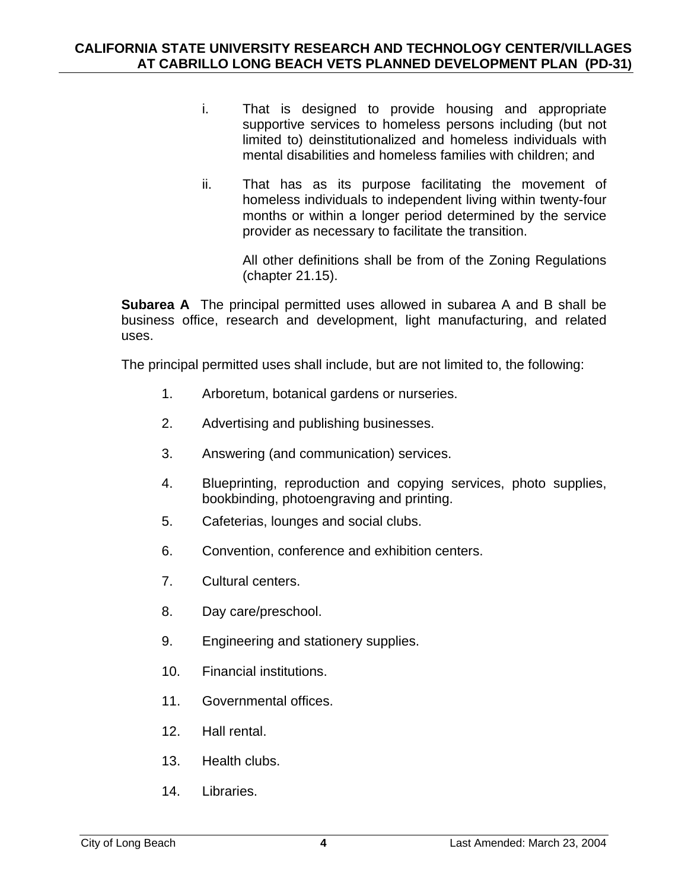- i. That is designed to provide housing and appropriate supportive services to homeless persons including (but not limited to) deinstitutionalized and homeless individuals with mental disabilities and homeless families with children; and
- ii. That has as its purpose facilitating the movement of homeless individuals to independent living within twenty-four months or within a longer period determined by the service provider as necessary to facilitate the transition.

All other definitions shall be from of the Zoning Regulations (chapter 21.15).

**Subarea A** The principal permitted uses allowed in subarea A and B shall be business office, research and development, light manufacturing, and related uses.

The principal permitted uses shall include, but are not limited to, the following:

- 1. Arboretum, botanical gardens or nurseries.
- 2. Advertising and publishing businesses.
- 3. Answering (and communication) services.
- 4. Blueprinting, reproduction and copying services, photo supplies, bookbinding, photoengraving and printing.
- 5. Cafeterias, lounges and social clubs.
- 6. Convention, conference and exhibition centers.
- 7. Cultural centers.
- 8. Day care/preschool.
- 9. Engineering and stationery supplies.
- 10. Financial institutions.
- 11. Governmental offices.
- 12. Hall rental.
- 13. Health clubs.
- 14. Libraries.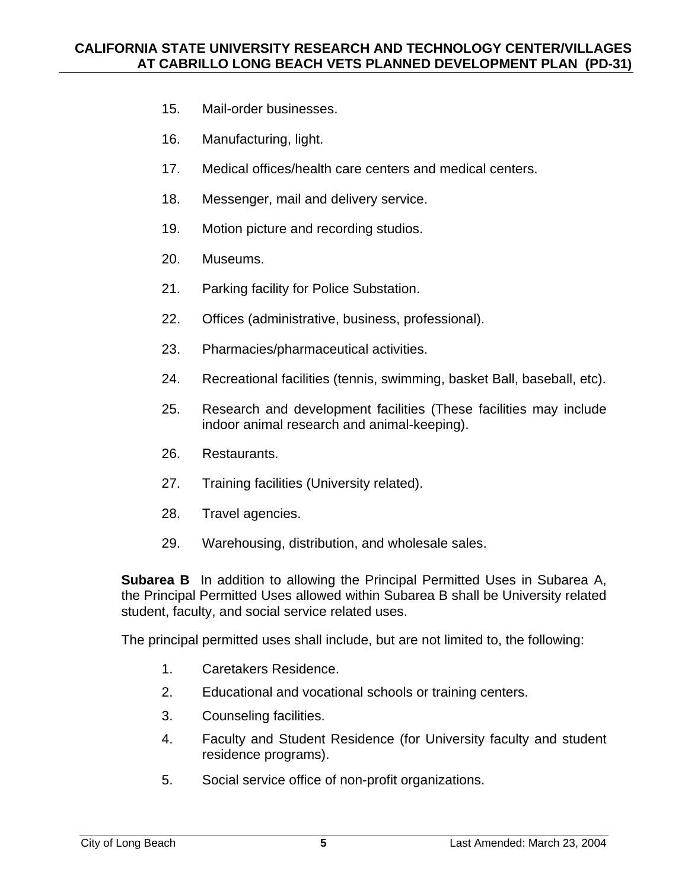- 15. Mail-order businesses.
- 16. Manufacturing, light.
- 17. Medical offices/health care centers and medical centers.
- 18. Messenger, mail and delivery service.
- 19. Motion picture and recording studios.
- 20. Museums.
- 21. Parking facility for Police Substation.
- 22. Offices (administrative, business, professional).
- 23. Pharmacies/pharmaceutical activities.
- 24. Recreational facilities (tennis, swimming, basket Ball, baseball, etc).
- 25. Research and development facilities (These facilities may include indoor animal research and animal-keeping).
- 26. Restaurants.
- 27. Training facilities (University related).
- 28. Travel agencies.
- 29. Warehousing, distribution, and wholesale sales.

**Subarea B** In addition to allowing the Principal Permitted Uses in Subarea A, the Principal Permitted Uses allowed within Subarea B shall be University related student, faculty, and social service related uses.

The principal permitted uses shall include, but are not limited to, the following:

- 1. Caretakers Residence.
- 2. Educational and vocational schools or training centers.
- 3. Counseling facilities.
- 4. Faculty and Student Residence (for University faculty and student residence programs).
- 5. Social service office of non-profit organizations.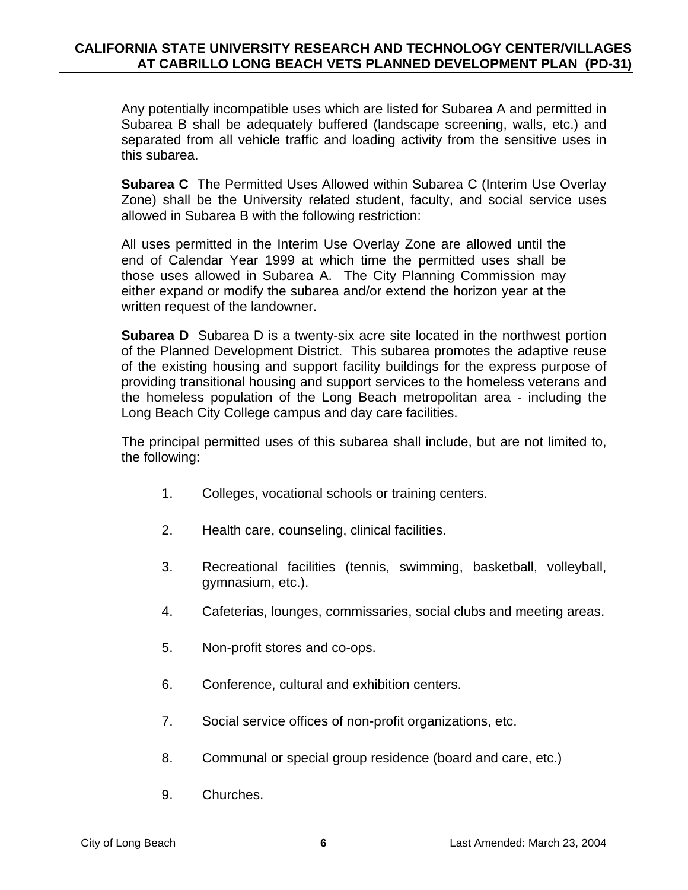Any potentially incompatible uses which are listed for Subarea A and permitted in Subarea B shall be adequately buffered (landscape screening, walls, etc.) and separated from all vehicle traffic and loading activity from the sensitive uses in this subarea.

**Subarea C** The Permitted Uses Allowed within Subarea C (Interim Use Overlay Zone) shall be the University related student, faculty, and social service uses allowed in Subarea B with the following restriction:

All uses permitted in the Interim Use Overlay Zone are allowed until the end of Calendar Year 1999 at which time the permitted uses shall be those uses allowed in Subarea A. The City Planning Commission may either expand or modify the subarea and/or extend the horizon year at the written request of the landowner.

**Subarea D** Subarea D is a twenty-six acre site located in the northwest portion of the Planned Development District. This subarea promotes the adaptive reuse of the existing housing and support facility buildings for the express purpose of providing transitional housing and support services to the homeless veterans and the homeless population of the Long Beach metropolitan area - including the Long Beach City College campus and day care facilities.

The principal permitted uses of this subarea shall include, but are not limited to, the following:

- 1. Colleges, vocational schools or training centers.
- 2. Health care, counseling, clinical facilities.
- 3. Recreational facilities (tennis, swimming, basketball, volleyball, gymnasium, etc.).
- 4. Cafeterias, lounges, commissaries, social clubs and meeting areas.
- 5. Non-profit stores and co-ops.
- 6. Conference, cultural and exhibition centers.
- 7. Social service offices of non-profit organizations, etc.
- 8. Communal or special group residence (board and care, etc.)
- 9. Churches.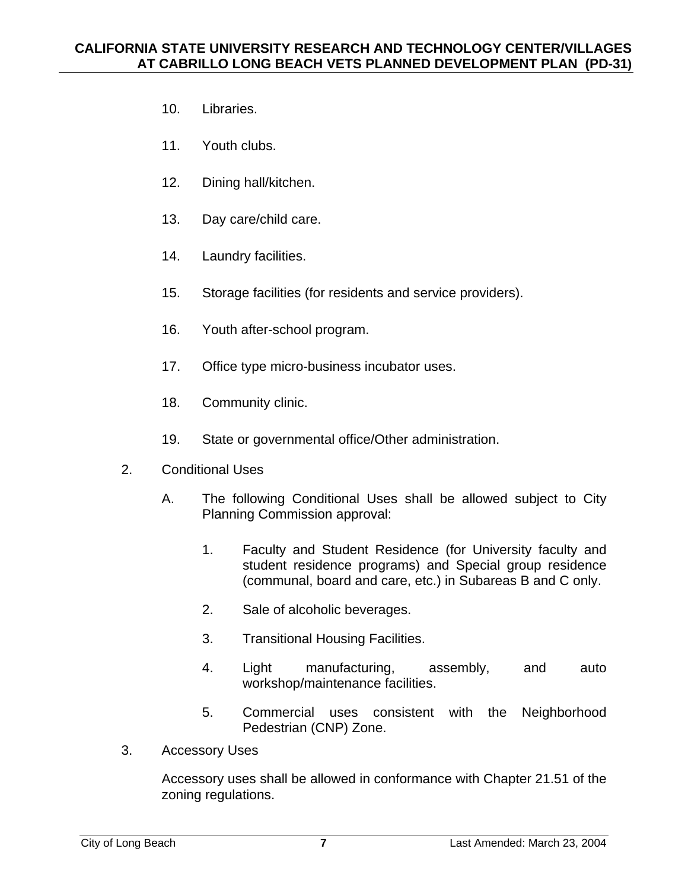- 10. Libraries.
- 11. Youth clubs.
- 12. Dining hall/kitchen.
- 13. Day care/child care.
- 14. Laundry facilities.
- 15. Storage facilities (for residents and service providers).
- 16. Youth after-school program.
- 17. Office type micro-business incubator uses.
- 18. Community clinic.
- 19. State or governmental office/Other administration.
- 2. Conditional Uses
	- A. The following Conditional Uses shall be allowed subject to City Planning Commission approval:
		- 1. Faculty and Student Residence (for University faculty and student residence programs) and Special group residence (communal, board and care, etc.) in Subareas B and C only.
		- 2. Sale of alcoholic beverages.
		- 3. Transitional Housing Facilities.
		- 4. Light manufacturing, assembly, and auto workshop/maintenance facilities.
		- 5. Commercial uses consistent with the Neighborhood Pedestrian (CNP) Zone.
- 3. Accessory Uses

Accessory uses shall be allowed in conformance with Chapter 21.51 of the zoning regulations.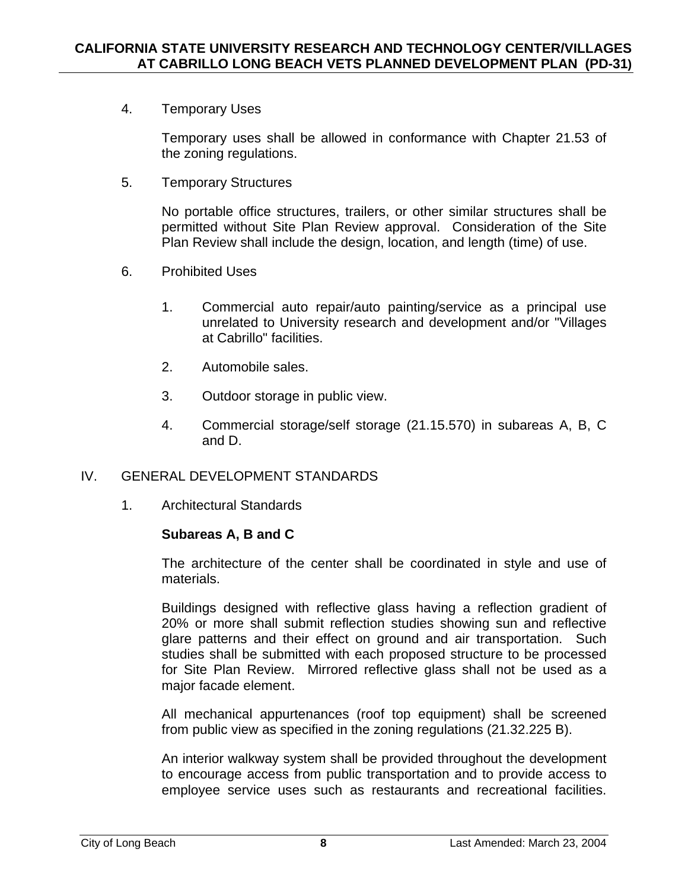4. Temporary Uses

Temporary uses shall be allowed in conformance with Chapter 21.53 of the zoning regulations.

5. Temporary Structures

No portable office structures, trailers, or other similar structures shall be permitted without Site Plan Review approval. Consideration of the Site Plan Review shall include the design, location, and length (time) of use.

- 6. Prohibited Uses
	- 1. Commercial auto repair/auto painting/service as a principal use unrelated to University research and development and/or "Villages at Cabrillo" facilities.
	- 2. Automobile sales.
	- 3. Outdoor storage in public view.
	- 4. Commercial storage/self storage (21.15.570) in subareas A, B, C and D.

# IV. GENERAL DEVELOPMENT STANDARDS

1. Architectural Standards

#### **Subareas A, B and C**

The architecture of the center shall be coordinated in style and use of materials.

Buildings designed with reflective glass having a reflection gradient of 20% or more shall submit reflection studies showing sun and reflective glare patterns and their effect on ground and air transportation. Such studies shall be submitted with each proposed structure to be processed for Site Plan Review. Mirrored reflective glass shall not be used as a major facade element.

All mechanical appurtenances (roof top equipment) shall be screened from public view as specified in the zoning regulations (21.32.225 B).

An interior walkway system shall be provided throughout the development to encourage access from public transportation and to provide access to employee service uses such as restaurants and recreational facilities.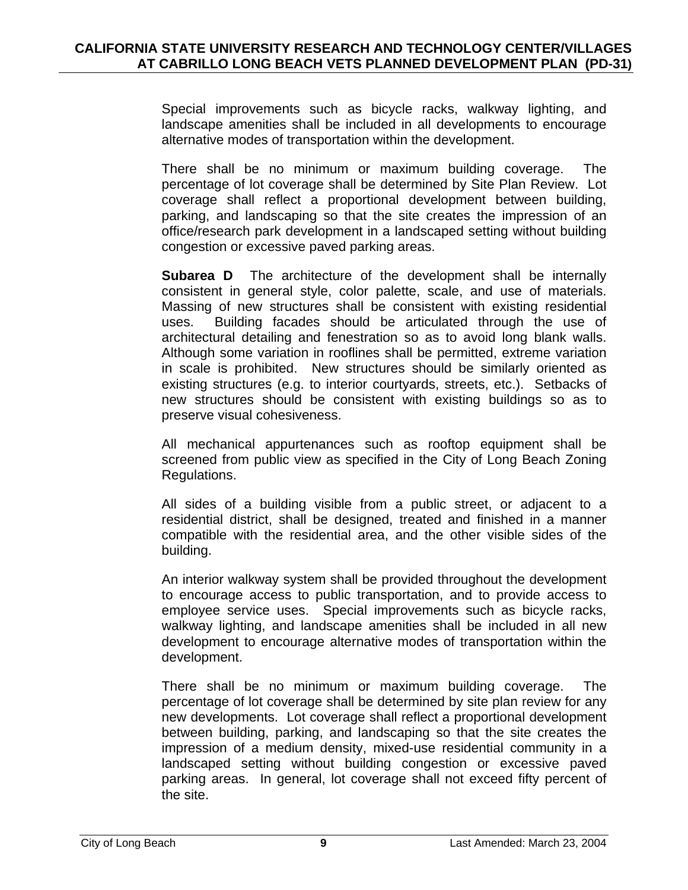Special improvements such as bicycle racks, walkway lighting, and landscape amenities shall be included in all developments to encourage alternative modes of transportation within the development.

There shall be no minimum or maximum building coverage. The percentage of lot coverage shall be determined by Site Plan Review. Lot coverage shall reflect a proportional development between building, parking, and landscaping so that the site creates the impression of an office/research park development in a landscaped setting without building congestion or excessive paved parking areas.

**Subarea D** The architecture of the development shall be internally consistent in general style, color palette, scale, and use of materials. Massing of new structures shall be consistent with existing residential uses. Building facades should be articulated through the use of architectural detailing and fenestration so as to avoid long blank walls. Although some variation in rooflines shall be permitted, extreme variation in scale is prohibited. New structures should be similarly oriented as existing structures (e.g. to interior courtyards, streets, etc.). Setbacks of new structures should be consistent with existing buildings so as to preserve visual cohesiveness.

All mechanical appurtenances such as rooftop equipment shall be screened from public view as specified in the City of Long Beach Zoning Regulations.

All sides of a building visible from a public street, or adjacent to a residential district, shall be designed, treated and finished in a manner compatible with the residential area, and the other visible sides of the building.

An interior walkway system shall be provided throughout the development to encourage access to public transportation, and to provide access to employee service uses. Special improvements such as bicycle racks, walkway lighting, and landscape amenities shall be included in all new development to encourage alternative modes of transportation within the development.

There shall be no minimum or maximum building coverage. The percentage of lot coverage shall be determined by site plan review for any new developments. Lot coverage shall reflect a proportional development between building, parking, and landscaping so that the site creates the impression of a medium density, mixed-use residential community in a landscaped setting without building congestion or excessive paved parking areas. In general, lot coverage shall not exceed fifty percent of the site.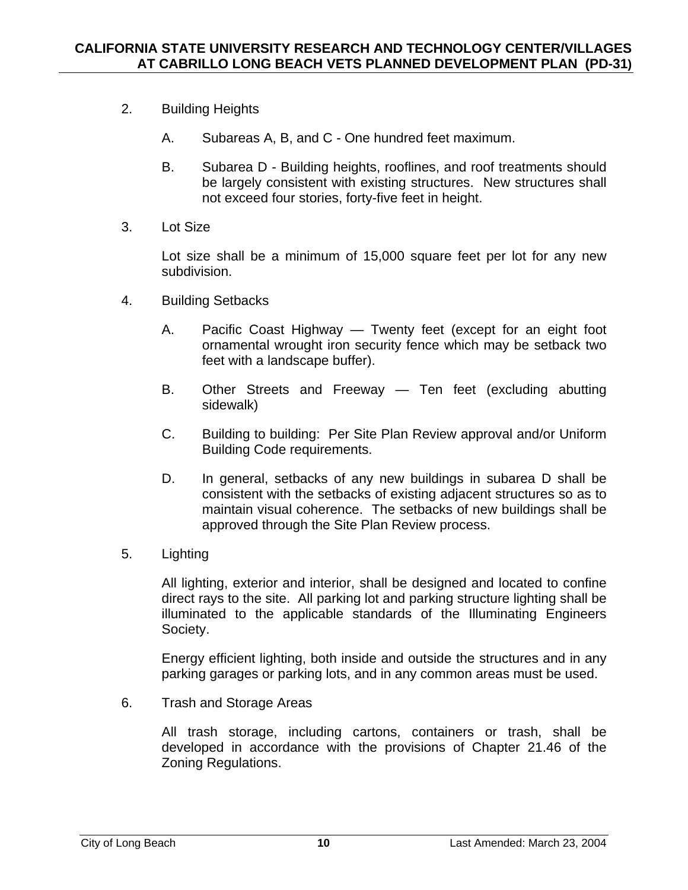- 2. Building Heights
	- A. Subareas A, B, and C One hundred feet maximum.
	- B. Subarea D Building heights, rooflines, and roof treatments should be largely consistent with existing structures. New structures shall not exceed four stories, forty-five feet in height.
- 3. Lot Size

Lot size shall be a minimum of 15,000 square feet per lot for any new subdivision.

- 4. Building Setbacks
	- A. Pacific Coast Highway Twenty feet (except for an eight foot ornamental wrought iron security fence which may be setback two feet with a landscape buffer).
	- B. Other Streets and Freeway Ten feet (excluding abutting sidewalk)
	- C. Building to building: Per Site Plan Review approval and/or Uniform Building Code requirements.
	- D. In general, setbacks of any new buildings in subarea D shall be consistent with the setbacks of existing adjacent structures so as to maintain visual coherence. The setbacks of new buildings shall be approved through the Site Plan Review process.
- 5. Lighting

All lighting, exterior and interior, shall be designed and located to confine direct rays to the site. All parking lot and parking structure lighting shall be illuminated to the applicable standards of the Illuminating Engineers Society.

Energy efficient lighting, both inside and outside the structures and in any parking garages or parking lots, and in any common areas must be used.

6. Trash and Storage Areas

All trash storage, including cartons, containers or trash, shall be developed in accordance with the provisions of Chapter 21.46 of the Zoning Regulations.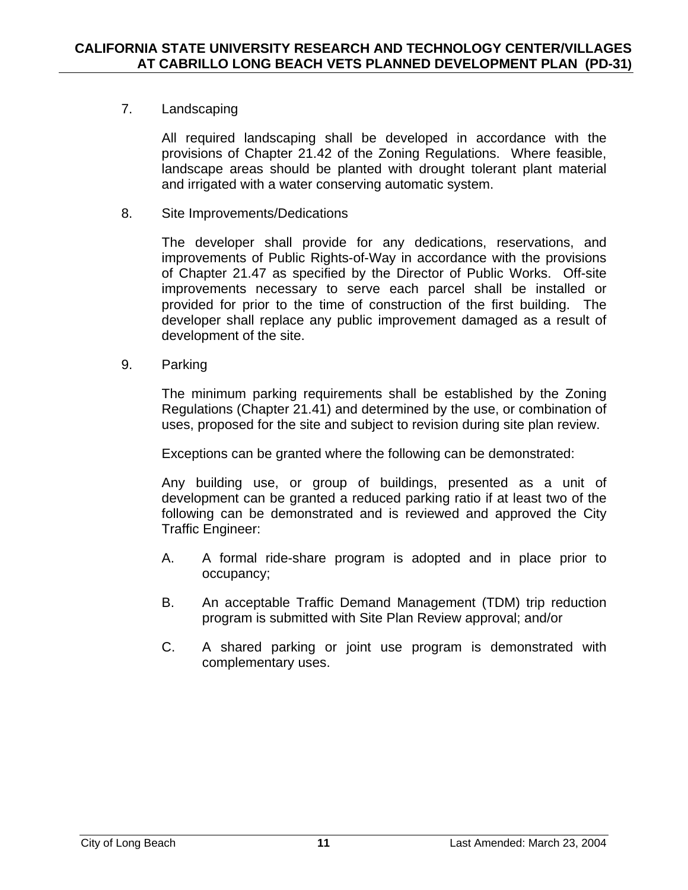# 7. Landscaping

All required landscaping shall be developed in accordance with the provisions of Chapter 21.42 of the Zoning Regulations. Where feasible, landscape areas should be planted with drought tolerant plant material and irrigated with a water conserving automatic system.

8. Site Improvements/Dedications

The developer shall provide for any dedications, reservations, and improvements of Public Rights-of-Way in accordance with the provisions of Chapter 21.47 as specified by the Director of Public Works. Off-site improvements necessary to serve each parcel shall be installed or provided for prior to the time of construction of the first building. The developer shall replace any public improvement damaged as a result of development of the site.

9. Parking

The minimum parking requirements shall be established by the Zoning Regulations (Chapter 21.41) and determined by the use, or combination of uses, proposed for the site and subject to revision during site plan review.

Exceptions can be granted where the following can be demonstrated:

Any building use, or group of buildings, presented as a unit of development can be granted a reduced parking ratio if at least two of the following can be demonstrated and is reviewed and approved the City Traffic Engineer:

- A. A formal ride-share program is adopted and in place prior to occupancy;
- B. An acceptable Traffic Demand Management (TDM) trip reduction program is submitted with Site Plan Review approval; and/or
- C. A shared parking or joint use program is demonstrated with complementary uses.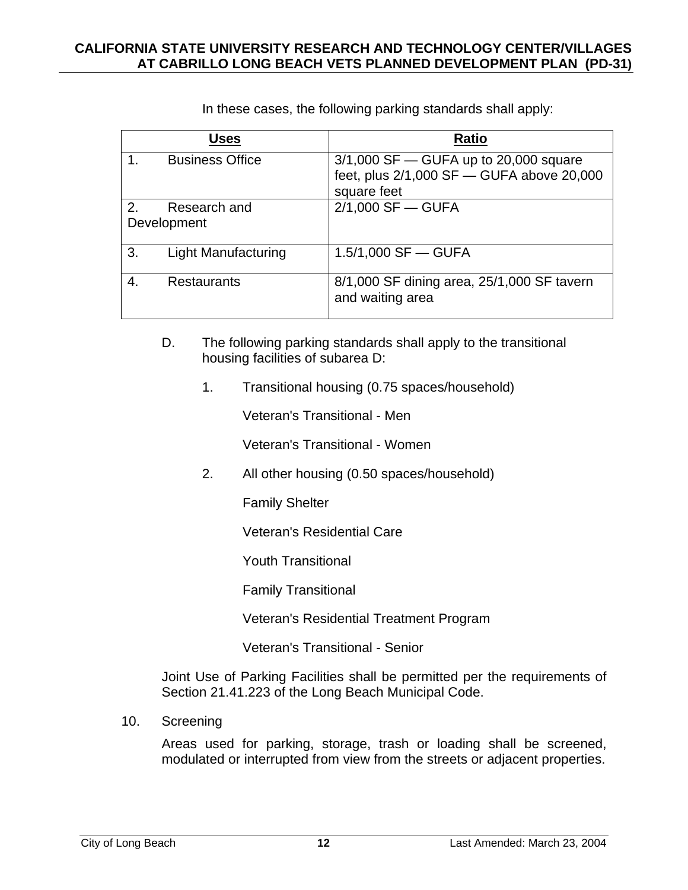|    | Uses                        | <b>Ratio</b>                                                                                        |
|----|-----------------------------|-----------------------------------------------------------------------------------------------------|
| 1. | <b>Business Office</b>      | $3/1,000$ SF - GUFA up to 20,000 square<br>feet, plus 2/1,000 SF - GUFA above 20,000<br>square feet |
| 2. | Research and<br>Development | $2/1,000$ SF - GUFA                                                                                 |
| 3. | Light Manufacturing         | $1.5/1,000$ SF - GUFA                                                                               |
| 4. | <b>Restaurants</b>          | 8/1,000 SF dining area, 25/1,000 SF tavern<br>and waiting area                                      |

In these cases, the following parking standards shall apply:

- D. The following parking standards shall apply to the transitional housing facilities of subarea D:
	- 1. Transitional housing (0.75 spaces/household)

Veteran's Transitional - Men

Veteran's Transitional - Women

2. All other housing (0.50 spaces/household)

Family Shelter

Veteran's Residential Care

Youth Transitional

Family Transitional

Veteran's Residential Treatment Program

Veteran's Transitional - Senior

Joint Use of Parking Facilities shall be permitted per the requirements of Section 21.41.223 of the Long Beach Municipal Code.

10. Screening

Areas used for parking, storage, trash or loading shall be screened, modulated or interrupted from view from the streets or adjacent properties.